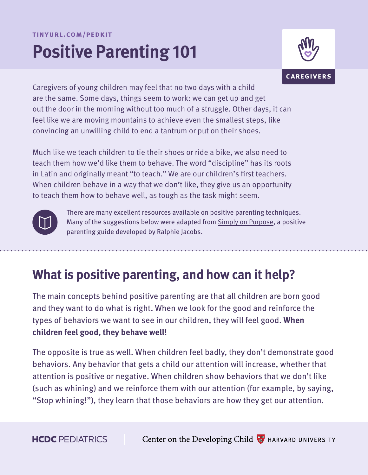#### **tinyurl.com/pedkit**

# **Positive Parenting 101**



Caregivers of young children may feel that no two days with a child are the same. Some days, things seem to work: we can get up and get out the door in the morning without too much of a struggle. Other days, it can feel like we are moving mountains to achieve even the smallest steps, like convincing an unwilling child to end a tantrum or put on their shoes.

Much like we teach children to tie their shoes or ride a bike, we also need to teach them how we'd like them to behave. The word "discipline" has its roots in Latin and originally meant "to teach." We are our children's first teachers. When children behave in a way that we don't like, they give us an opportunity to teach them how to behave well, as tough as the task might seem.



There are many excellent resources available on positive parenting techniques. Many of the suggestions below were adapted from [Simply on Purpose](https://simplyonpurpose.org/), a positive parenting guide developed by Ralphie Jacobs.

# **What is positive parenting, and how can it help?**

The main concepts behind positive parenting are that all children are born good and they want to do what is right. When we look for the good and reinforce the types of behaviors we want to see in our children, they will feel good. **When children feel good, they behave well!**

The opposite is true as well. When children feel badly, they don't demonstrate good behaviors. Any behavior that gets a child our attention will increase, whether that attention is positive or negative. When children show behaviors that we don't like (such as whining) and we reinforce them with our attention (for example, by saying, "Stop whining!"), they learn that those behaviors are how they get our attention.

**HCDC** PEDIATRICS

Center on the Developing Child  $\frac{1}{2}$  HARVARD UNIVERSITY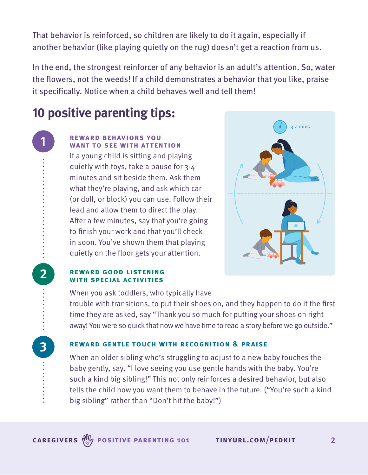That behavior is reinforced, so children are likely to do it again, especially if another behavior (like playing quietly on the rug) doesn't get a reaction from us.

In the end, the strongest reinforcer of any behavior is an adult's attention. So, water the flowers, not the weeds! If a child demonstrates a behavior that you like, praise it specifically. Notice when a child behaves well and tell them!

# **10 positive parenting tips:**

**1**

**2**

**3**

## **reward behaviors you want to see with attention**

If a young child is sitting and playing quietly with toys, take a pause for 3-4 minutes and sit beside them. Ask them what they're playing, and ask which car (or doll, or block) you can use. Follow their lead and allow them to direct the play. After a few minutes, say that you're going to finish your work and that you'll check in soon. You've shown them that playing quietly on the floor gets your attention.



#### **reward good listening with special activities**

When you ask toddlers, who typically have trouble with transitions, to put their shoes on, and they happen to do it the first time they are asked, say "Thank you so much for putting your shoes on right away! You were so quick that now we have time to read a story before we go outside."

# **reward gentle touch with recognition & praise**

When an older sibling who's struggling to adjust to a new baby touches the baby gently, say, "I love seeing you use gentle hands with the baby. You're such a kind big sibling!" This not only reinforces a desired behavior, but also tells the child how you want them to behave in the future. ("You're such a kind big sibling" rather than "Don't hit the baby!")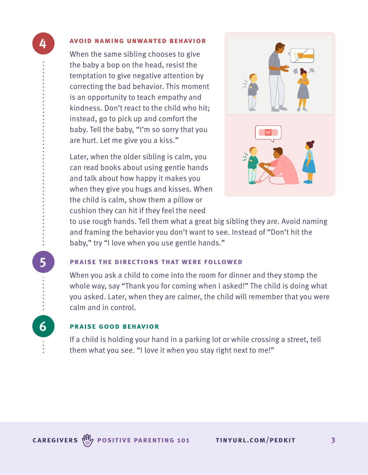#### **avoid naming unwanted behavior**

**4**

**5**

**6**

When the same sibling chooses to give the baby a bop on the head, resist the temptation to give negative attention by correcting the bad behavior. This moment is an opportunity to teach empathy and kindness. Don't react to the child who hit; instead, go to pick up and comfort the baby. Tell the baby, "I'm so sorry that you are hurt. Let me give you a kiss."

Later, when the older sibling is calm, you can read books about using gentle hands and talk about how happy it makes you when they give you hugs and kisses. When the child is calm, show them a pillow or cushion they can hit if they feel the need



to use rough hands. Tell them what a great big sibling they are. Avoid naming and framing the behavior you don't want to see. Instead of "Don't hit the baby," try "I love when you use gentle hands."

#### **praise the directions that were followed**

When you ask a child to come into the room for dinner and they stomp the whole way, say "Thank you for coming when I asked!" The child is doing what you asked. Later, when they are calmer, the child will remember that you were calm and in control.

### **praise good behavior**

If a child is holding your hand in a parking lot or while crossing a street, tell them what you see. "I love it when you stay right next to me!"